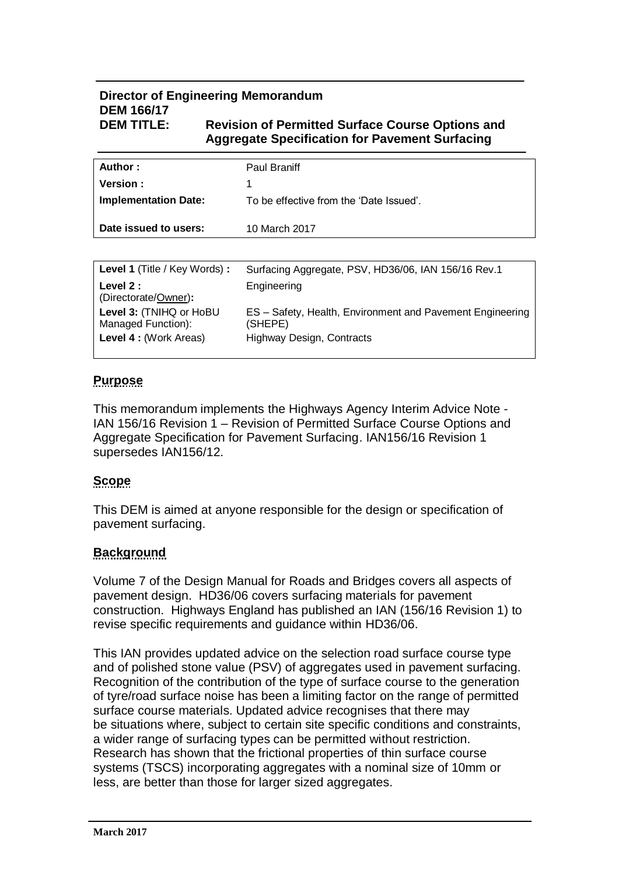## **Director of Engineering Memorandum DEM 166/17 DEM TITLE: Revision of Permitted Surface Course Options and**

# **Aggregate Specification for Pavement Surfacing**

| Author :                    | <b>Paul Braniff</b>                     |
|-----------------------------|-----------------------------------------|
| Version:                    |                                         |
| <b>Implementation Date:</b> | To be effective from the 'Date Issued'. |
|                             |                                         |
| Date issued to users:       | 10 March 2017                           |
|                             |                                         |

| Level 1 (Title / Key Words) :                                           | Surfacing Aggregate, PSV, HD36/06, IAN 156/16 Rev.1                                                      |
|-------------------------------------------------------------------------|----------------------------------------------------------------------------------------------------------|
| Level $2:$<br>(Directorate/Owner):                                      | Engineering                                                                                              |
| Level 3: (TNIHQ or HoBU<br>Managed Function):<br>Level 4 : (Work Areas) | ES - Safety, Health, Environment and Pavement Engineering<br>(SHEPE)<br><b>Highway Design, Contracts</b> |

## **Purpose**

This memorandum implements the Highways Agency Interim Advice Note - IAN 156/16 Revision 1 – Revision of Permitted Surface Course Options and Aggregate Specification for Pavement Surfacing. IAN156/16 Revision 1 supersedes IAN156/12.

## **Scope**

This DEM is aimed at anyone responsible for the design or specification of pavement surfacing.

## **Background**

Volume 7 of the Design Manual for Roads and Bridges covers all aspects of pavement design. HD36/06 covers surfacing materials for pavement construction. Highways England has published an IAN (156/16 Revision 1) to revise specific requirements and guidance within HD36/06.

This IAN provides updated advice on the selection road surface course type and of polished stone value (PSV) of aggregates used in pavement surfacing. Recognition of the contribution of the type of surface course to the generation of tyre/road surface noise has been a limiting factor on the range of permitted surface course materials. Updated advice recognises that there may be situations where, subject to certain site specific conditions and constraints, a wider range of surfacing types can be permitted without restriction. Research has shown that the frictional properties of thin surface course systems (TSCS) incorporating aggregates with a nominal size of 10mm or less, are better than those for larger sized aggregates.